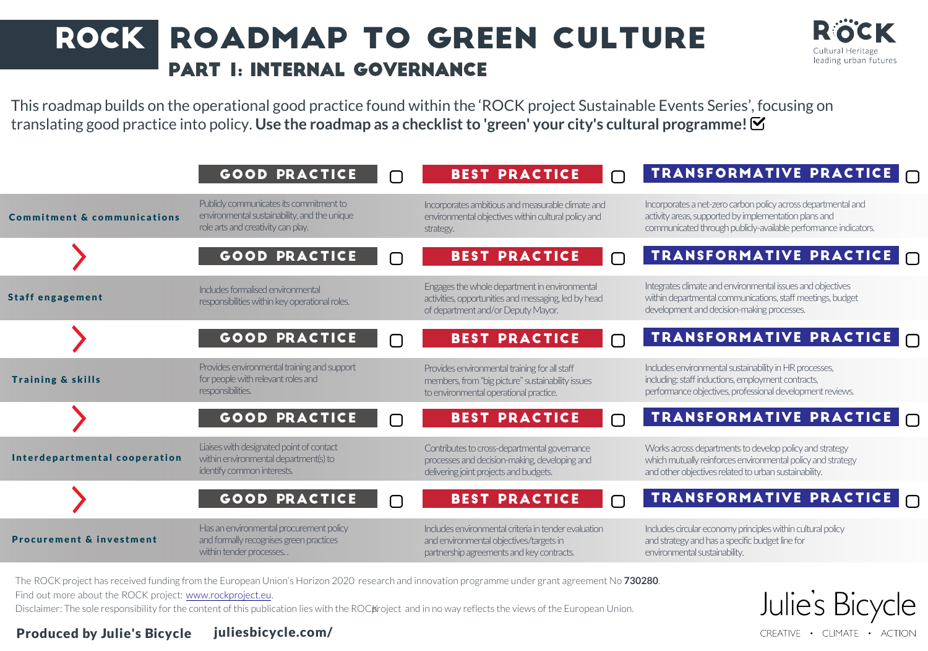## ROCK ROADMAP TO GREEN CULTURE Part 1: Internal Governance



Julie's Bic

CREATIVE . CLIMATE . ACTION

This roadmap builds on the operational good practice found within the 'ROCK project Sustainable Events Series', focusing on translating good practice into policy. **Use the roadmap as a checklist to 'green' your city's cultural programme!**

|                                        | <b>GOOD PRACTICE</b>                                                                                                          |        | <b>BEST PRACTICE</b><br>$\bigcap$                                                                                                            | TRANSFORMATIVE PRACTICE                                                                                                                                                                   |
|----------------------------------------|-------------------------------------------------------------------------------------------------------------------------------|--------|----------------------------------------------------------------------------------------------------------------------------------------------|-------------------------------------------------------------------------------------------------------------------------------------------------------------------------------------------|
| <b>Commitment &amp; communications</b> | Publicly communicates its commitment to<br>environmental sustainability, and the unique<br>role arts and creativity can play. |        | Incorporates ambitious and measurable climate and<br>environmental objectives within cultural policy and<br>strategy.                        | Incorporates a net-zero carbon policy across departmental and<br>activity areas, supported by implementation plans and<br>communicated through publicly-available performance indicators. |
|                                        | <b>GOOD PRACTICE</b>                                                                                                          |        | <b>BEST PRACTICE</b><br>$\Box$                                                                                                               | TRANSFORMATIVE PRACTICE                                                                                                                                                                   |
| <b>Staff engagement</b>                | Includes formalised environmental<br>responsibilities within key operational roles.                                           |        | Engages the whole department in environmental<br>activities, opportunities and messaging, led by head<br>of department and/or Deputy Mayor.  | Integrates climate and environmental issues and objectives<br>within departmental communications, staff meetings, budget<br>development and decision-making processes.                    |
|                                        | <b>GOOD PRACTICE</b>                                                                                                          |        | <b>BEST PRACTICE</b><br>$\bigcap$                                                                                                            | TRANSFORMATIVE PRACTICE                                                                                                                                                                   |
| <b>Training &amp; skills</b>           | Provides environmental training and support<br>for people with relevant roles and<br>responsibilities.                        |        | Provides environmental training for all staff<br>members, from "big picture" sustainability issues<br>to environmental operational practice. | Includes environmental sustainability in HR processes,<br>including: staff inductions, employment contracts,<br>performance objectives, professional development reviews.                 |
|                                        | <b>GOOD PRACTICE</b>                                                                                                          | $\Box$ | <b>BEST PRACTICE</b><br>$\bigcap$                                                                                                            | TRANSFORMATIVE PRACTICE                                                                                                                                                                   |
| Interdepartmental cooperation          | Liaises with designated point of contact<br>within environmental department(s) to<br>identify common interests.               |        | Contributes to cross-departmental governance<br>processes and decision-making, developing and<br>delivering joint projects and budgets.      | Works across departments to develop policy and strategy<br>which mutually reinforces environmental policy and strategy<br>and other objectives related to urban sustainability.           |
|                                        | <b>GOOD PRACTICE</b>                                                                                                          |        | <b>BEST PRACTICE</b><br>$\bigcap$                                                                                                            | TRANSFORMATIVE PRACTICE                                                                                                                                                                   |
| <b>Procurement &amp; investment</b>    | Has an environmental procurement policy<br>and formally recognises green practices<br>within tender processes                 |        | Includes environmental criteria in tender evaluation<br>and environmental objectives/targets in<br>partnership agreements and key contracts. | Includes circular economy principles within cultural policy<br>and strategy and has a specific budget line for<br>environmental sustainability.                                           |

The ROCK project has received funding from the European Union's Horizon 2020 research and innovation programme under grant agreement No **730280**.

Find out more about the ROCK project: www.rockproject.eu.

Disclaimer: The sole responsibility for the content of this publication lies with the ROCK roject and in no way reflects the views of the European Union.

Produced by Julie's Bicycle juliesbicycle.com/